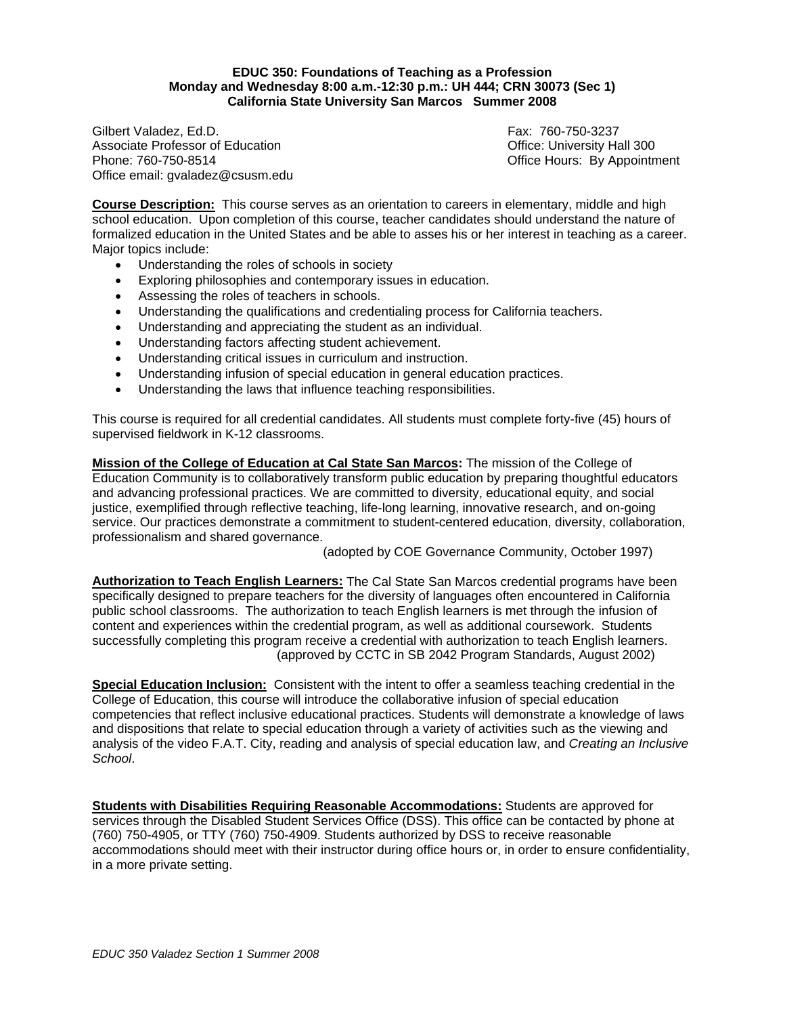### **EDUC 350: Foundations of Teaching as a Profession Monday and Wednesday 8:00 a.m.-12:30 p.m.: UH 444; CRN 30073 (Sec 1) California State University San Marcos Summer 2008**

Gilbert Valadez, Ed.D. Fax: 760-750-3237 Associate Professor of Education **Contract Contract Contract Contract Contract Contract Contract Contract Contract Contract Contract Contract Contract Contract Contract Contract Contract Contract Contract Contract Contract** Phone: 760-750-8514 **Department** Office Hours: By Appointment Office email: gvaladez@csusm.edu

**Course Description:** This course serves as an orientation to careers in elementary, middle and high school education. Upon completion of this course, teacher candidates should understand the nature of formalized education in the United States and be able to asses his or her interest in teaching as a career. Major topics include:

- Understanding the roles of schools in society
- Exploring philosophies and contemporary issues in education.
- Assessing the roles of teachers in schools.
- Understanding the qualifications and credentialing process for California teachers.
- Understanding and appreciating the student as an individual.
- Understanding factors affecting student achievement.
- Understanding critical issues in curriculum and instruction.
- Understanding infusion of special education in general education practices.
- Understanding the laws that influence teaching responsibilities.

This course is required for all credential candidates. All students must complete forty-five (45) hours of supervised fieldwork in K-12 classrooms.

**Mission of the College of Education at Cal State San Marcos:** The mission of the College of Education Community is to collaboratively transform public education by preparing thoughtful educators and advancing professional practices. We are committed to diversity, educational equity, and social justice, exemplified through reflective teaching, life-long learning, innovative research, and on-going service. Our practices demonstrate a commitment to student-centered education, diversity, collaboration, professionalism and shared governance.

(adopted by COE Governance Community, October 1997)

**Authorization to Teach English Learners:** The Cal State San Marcos credential programs have been specifically designed to prepare teachers for the diversity of languages often encountered in California public school classrooms. The authorization to teach English learners is met through the infusion of content and experiences within the credential program, as well as additional coursework. Students successfully completing this program receive a credential with authorization to teach English learners. (approved by CCTC in SB 2042 Program Standards, August 2002)

**Special Education Inclusion:** Consistent with the intent to offer a seamless teaching credential in the College of Education, this course will introduce the collaborative infusion of special education competencies that reflect inclusive educational practices. Students will demonstrate a knowledge of laws and dispositions that relate to special education through a variety of activities such as the viewing and analysis of the video F.A.T. City, reading and analysis of special education law, and *Creating an Inclusive School*.

**Students with Disabilities Requiring Reasonable Accommodations:** Students are approved for services through the Disabled Student Services Office (DSS). This office can be contacted by phone at (760) 750-4905, or TTY (760) 750-4909. Students authorized by DSS to receive reasonable accommodations should meet with their instructor during office hours or, in order to ensure confidentiality, in a more private setting.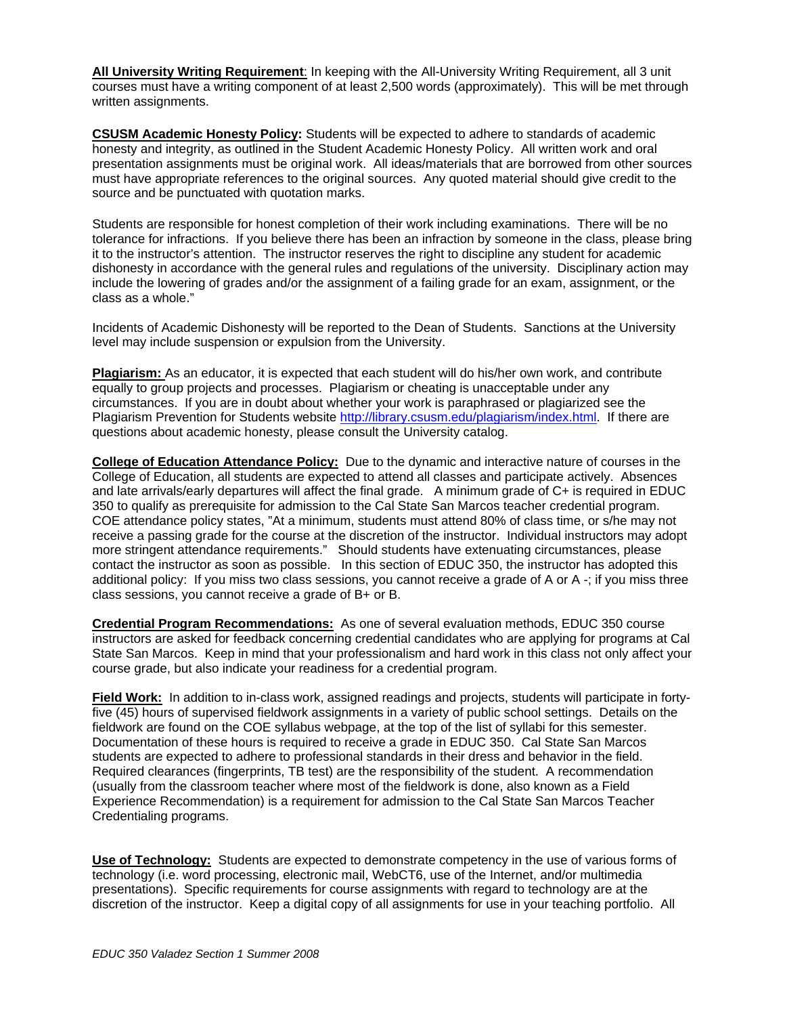**All University Writing Requirement**: In keeping with the All-University Writing Requirement, all 3 unit courses must have a writing component of at least 2,500 words (approximately). This will be met through written assignments.

**CSUSM Academic Honesty Policy:** Students will be expected to adhere to standards of academic honesty and integrity, as outlined in the Student Academic Honesty Policy. All written work and oral presentation assignments must be original work. All ideas/materials that are borrowed from other sources must have appropriate references to the original sources. Any quoted material should give credit to the source and be punctuated with quotation marks.

Students are responsible for honest completion of their work including examinations. There will be no tolerance for infractions. If you believe there has been an infraction by someone in the class, please bring it to the instructor's attention. The instructor reserves the right to discipline any student for academic dishonesty in accordance with the general rules and regulations of the university. Disciplinary action may include the lowering of grades and/or the assignment of a failing grade for an exam, assignment, or the class as a whole."

Incidents of Academic Dishonesty will be reported to the Dean of Students. Sanctions at the University level may include suspension or expulsion from the University.

**Plagiarism:** As an educator, it is expected that each student will do his/her own work, and contribute equally to group projects and processes. Plagiarism or cheating is unacceptable under any circumstances. If you are in doubt about whether your work is paraphrased or plagiarized see the Plagiarism Prevention for Students website http://library.csusm.edu/plagiarism/index.html. If there are questions about academic honesty, please consult the University catalog.

**College of Education Attendance Policy:** Due to the dynamic and interactive nature of courses in the College of Education, all students are expected to attend all classes and participate actively. Absences and late arrivals/early departures will affect the final grade. A minimum grade of C+ is required in EDUC 350 to qualify as prerequisite for admission to the Cal State San Marcos teacher credential program. COE attendance policy states, "At a minimum, students must attend 80% of class time, or s/he may not receive a passing grade for the course at the discretion of the instructor. Individual instructors may adopt more stringent attendance requirements." Should students have extenuating circumstances, please contact the instructor as soon as possible. In this section of EDUC 350, the instructor has adopted this additional policy: If you miss two class sessions, you cannot receive a grade of A or A -; if you miss three class sessions, you cannot receive a grade of B+ or B.

**Credential Program Recommendations:** As one of several evaluation methods, EDUC 350 course instructors are asked for feedback concerning credential candidates who are applying for programs at Cal State San Marcos. Keep in mind that your professionalism and hard work in this class not only affect your course grade, but also indicate your readiness for a credential program.

**Field Work:** In addition to in-class work, assigned readings and projects, students will participate in fortyfive (45) hours of supervised fieldwork assignments in a variety of public school settings. Details on the fieldwork are found on the COE syllabus webpage, at the top of the list of syllabi for this semester. Documentation of these hours is required to receive a grade in EDUC 350. Cal State San Marcos students are expected to adhere to professional standards in their dress and behavior in the field. Required clearances (fingerprints, TB test) are the responsibility of the student. A recommendation (usually from the classroom teacher where most of the fieldwork is done, also known as a Field Experience Recommendation) is a requirement for admission to the Cal State San Marcos Teacher Credentialing programs.

**Use of Technology:** Students are expected to demonstrate competency in the use of various forms of technology (i.e. word processing, electronic mail, WebCT6, use of the Internet, and/or multimedia presentations). Specific requirements for course assignments with regard to technology are at the discretion of the instructor. Keep a digital copy of all assignments for use in your teaching portfolio. All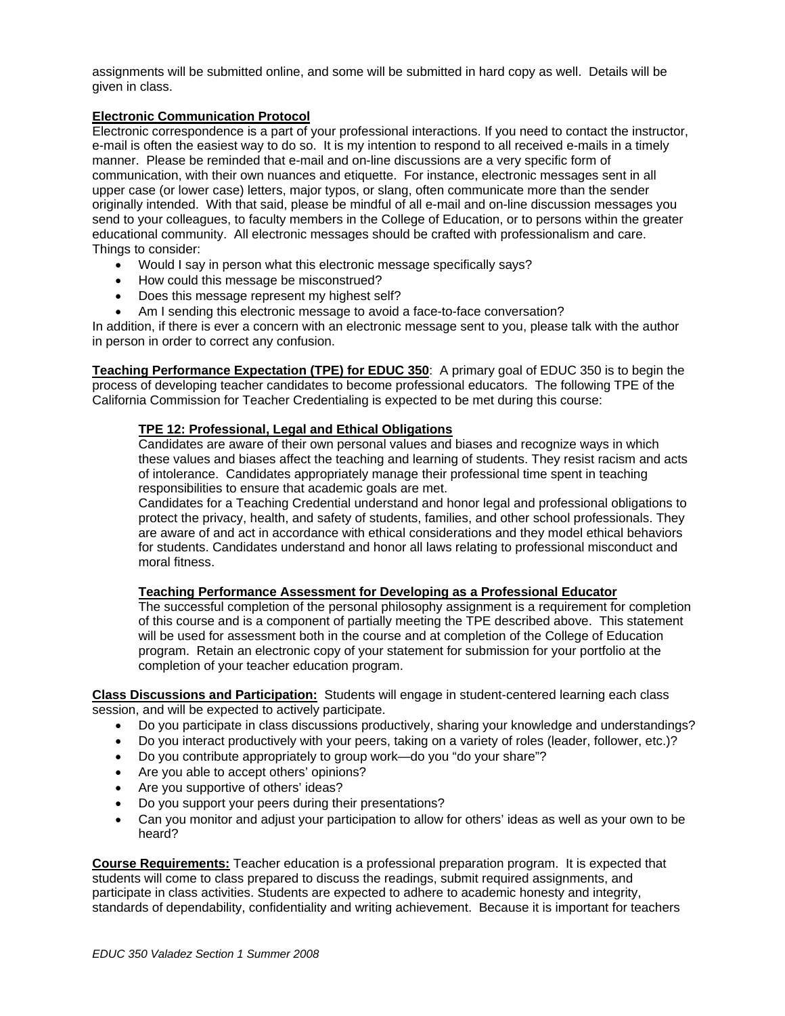assignments will be submitted online, and some will be submitted in hard copy as well. Details will be given in class.

# **Electronic Communication Protocol**

Electronic correspondence is a part of your professional interactions. If you need to contact the instructor, e-mail is often the easiest way to do so. It is my intention to respond to all received e-mails in a timely manner. Please be reminded that e-mail and on-line discussions are a very specific form of communication, with their own nuances and etiquette. For instance, electronic messages sent in all upper case (or lower case) letters, major typos, or slang, often communicate more than the sender originally intended. With that said, please be mindful of all e-mail and on-line discussion messages you send to your colleagues, to faculty members in the College of Education, or to persons within the greater educational community. All electronic messages should be crafted with professionalism and care. Things to consider:

- Would I say in person what this electronic message specifically says?
- How could this message be misconstrued?
- Does this message represent my highest self?
- Am I sending this electronic message to avoid a face-to-face conversation?

In addition, if there is ever a concern with an electronic message sent to you, please talk with the author in person in order to correct any confusion.

**Teaching Performance Expectation (TPE) for EDUC 350**: A primary goal of EDUC 350 is to begin the process of developing teacher candidates to become professional educators. The following TPE of the California Commission for Teacher Credentialing is expected to be met during this course:

# **TPE 12: Professional, Legal and Ethical Obligations**

Candidates are aware of their own personal values and biases and recognize ways in which these values and biases affect the teaching and learning of students. They resist racism and acts of intolerance. Candidates appropriately manage their professional time spent in teaching responsibilities to ensure that academic goals are met.

Candidates for a Teaching Credential understand and honor legal and professional obligations to protect the privacy, health, and safety of students, families, and other school professionals. They are aware of and act in accordance with ethical considerations and they model ethical behaviors for students. Candidates understand and honor all laws relating to professional misconduct and moral fitness.

### **Teaching Performance Assessment for Developing as a Professional Educator**

The successful completion of the personal philosophy assignment is a requirement for completion of this course and is a component of partially meeting the TPE described above. This statement will be used for assessment both in the course and at completion of the College of Education program. Retain an electronic copy of your statement for submission for your portfolio at the completion of your teacher education program.

**Class Discussions and Participation:** Students will engage in student-centered learning each class session, and will be expected to actively participate.

- Do you participate in class discussions productively, sharing your knowledge and understandings?
- Do you interact productively with your peers, taking on a variety of roles (leader, follower, etc.)?
- Do you contribute appropriately to group work—do you "do your share"?
- Are you able to accept others' opinions?
- Are you supportive of others' ideas?
- Do you support your peers during their presentations?
- Can you monitor and adjust your participation to allow for others' ideas as well as your own to be heard?

**Course Requirements:** Teacher education is a professional preparation program. It is expected that students will come to class prepared to discuss the readings, submit required assignments, and participate in class activities. Students are expected to adhere to academic honesty and integrity, standards of dependability, confidentiality and writing achievement. Because it is important for teachers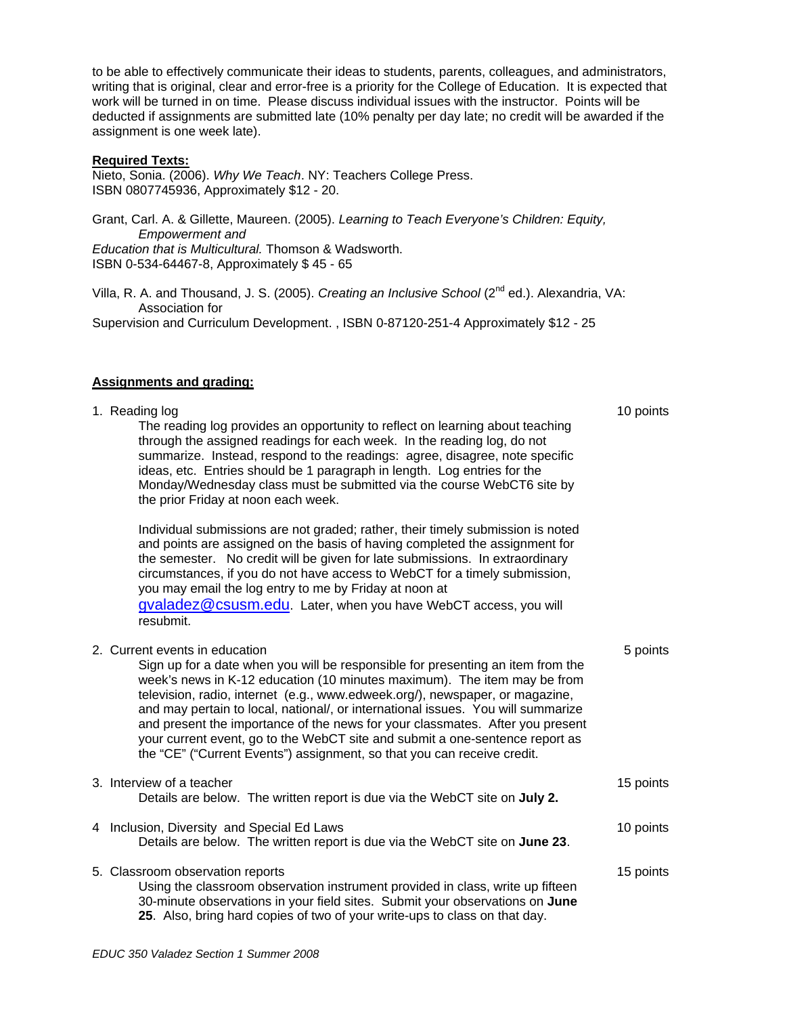to be able to effectively communicate their ideas to students, parents, colleagues, and administrators, writing that is original, clear and error-free is a priority for the College of Education. It is expected that work will be turned in on time. Please discuss individual issues with the instructor. Points will be deducted if assignments are submitted late (10% penalty per day late; no credit will be awarded if the assignment is one week late).

### **Required Texts:**

Nieto, Sonia. (2006). *Why We Teach*. NY: Teachers College Press. ISBN 0807745936, Approximately \$12 - 20.

Grant, Carl. A. & Gillette, Maureen. (2005). *Learning to Teach Everyone's Children: Equity, Empowerment and Education that is Multicultural.* Thomson & Wadsworth. ISBN 0-534-64467-8, Approximately \$ 45 - 65

Villa, R. A. and Thousand, J. S. (2005). *Creating an Inclusive School* (2<sup>nd</sup> ed.). Alexandria, VA: Association for

Supervision and Curriculum Development. , ISBN 0-87120-251-4 Approximately \$12 - 25

### **Assignments and grading:**

# 1. Reading log 10 points and the state of the state of the state of the state of the state of the state of the state of the state of the state of the state of the state of the state of the state of the state of the state o The reading log provides an opportunity to reflect on learning about teaching through the assigned readings for each week. In the reading log, do not summarize. Instead, respond to the readings: agree, disagree, note specific ideas, etc. Entries should be 1 paragraph in length. Log entries for the Monday/Wednesday class must be submitted via the course WebCT6 site by the prior Friday at noon each week. Individual submissions are not graded; rather, their timely submission is noted and points are assigned on the basis of having completed the assignment for the semester. No credit will be given for late submissions. In extraordinary circumstances, if you do not have access to WebCT for a timely submission, you may email the log entry to me by Friday at noon at gvaladez@csusm.edu. Later, when you have WebCT access, you will resubmit. 2. Current events in education **5 points**  $\sim$  5 points **5 points** Sign up for a date when you will be responsible for presenting an item from the week's news in K-12 education (10 minutes maximum). The item may be from television, radio, internet (e.g., www.edweek.org/), newspaper, or magazine, and may pertain to local, national/, or international issues. You will summarize and present the importance of the news for your classmates. After you present your current event, go to the WebCT site and submit a one-sentence report as the "CE" ("Current Events") assignment, so that you can receive credit. 3. Interview of a teacher 15 points and the set of a teacher 15 points of a teacher 15 points of a teacher 15 points of a teacher 15 points of a teacher 15 points of a teacher 15 points of a teacher 15 points of a teacher Details are below. The written report is due via the WebCT site on **July 2.** 4 Inclusion, Diversity and Special Ed Laws 10 points 10 points 10 points Details are below. The written report is due via the WebCT site on **June 23**. 5. Classroom observation reports 15 points 15 points 15 points 15 points 15 points 15 points 15 points 15 points 15 points 15 points 15 points 15 points 15 points 15 points 15 points 15 points 15 points 15 points 15 points Using the classroom observation instrument provided in class, write up fifteen 30-minute observations in your field sites. Submit your observations on **June 25**. Also, bring hard copies of two of your write-ups to class on that day.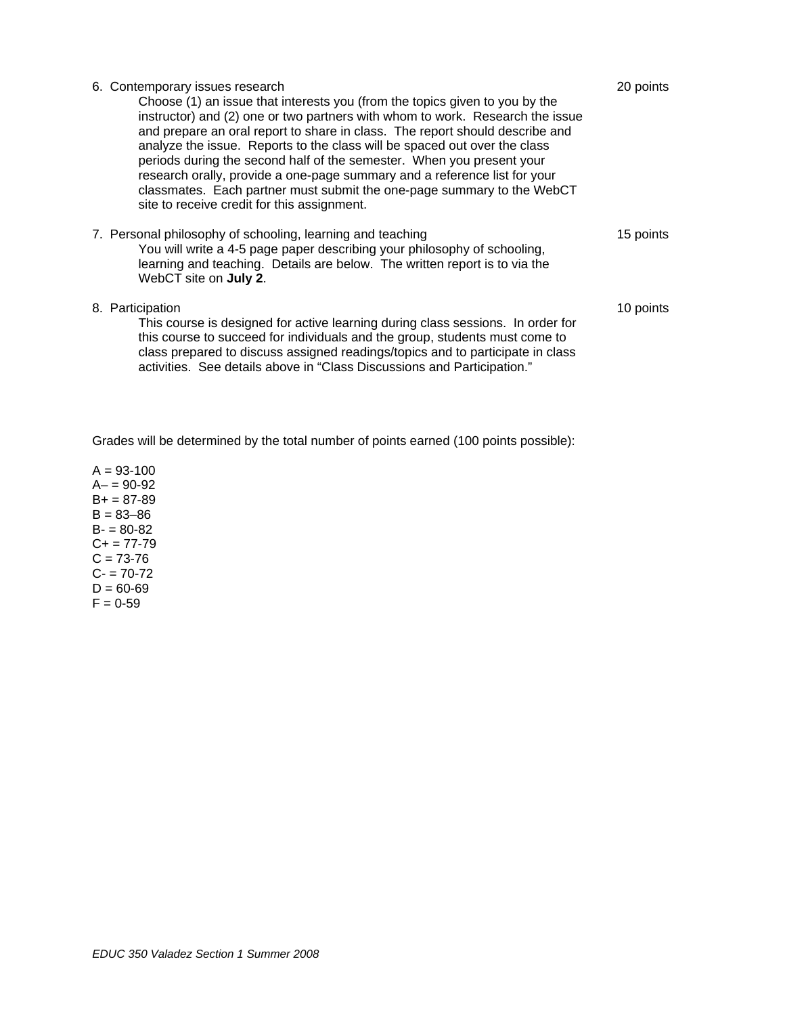| 6. Contemporary issues research<br>Choose (1) an issue that interests you (from the topics given to you by the<br>instructor) and (2) one or two partners with whom to work. Research the issue<br>and prepare an oral report to share in class. The report should describe and<br>analyze the issue. Reports to the class will be spaced out over the class<br>periods during the second half of the semester. When you present your<br>research orally, provide a one-page summary and a reference list for your<br>classmates. Each partner must submit the one-page summary to the WebCT<br>site to receive credit for this assignment. | 20 points |
|---------------------------------------------------------------------------------------------------------------------------------------------------------------------------------------------------------------------------------------------------------------------------------------------------------------------------------------------------------------------------------------------------------------------------------------------------------------------------------------------------------------------------------------------------------------------------------------------------------------------------------------------|-----------|
| 7. Personal philosophy of schooling, learning and teaching<br>You will write a 4-5 page paper describing your philosophy of schooling,<br>learning and teaching. Details are below. The written report is to via the<br>WebCT site on July 2.                                                                                                                                                                                                                                                                                                                                                                                               | 15 points |
| 8. Participation<br>This course is designed for active learning during class sessions. In order for<br>this course to succeed for individuals and the group, students must come to<br>class prepared to discuss assigned readings/topics and to participate in class<br>activities. See details above in "Class Discussions and Participation."                                                                                                                                                                                                                                                                                             | 10 points |

Grades will be determined by the total number of points earned (100 points possible):

 $A = 93 - 100$  $A - = 90 - 92$  $B+ = 87-89$  $B = 83 - 86$  $B = 80-82$  $C+= 77-79$  $C = 73-76$  $C - 70-72$  $D = 60 - 69$  $F = 0 - 59$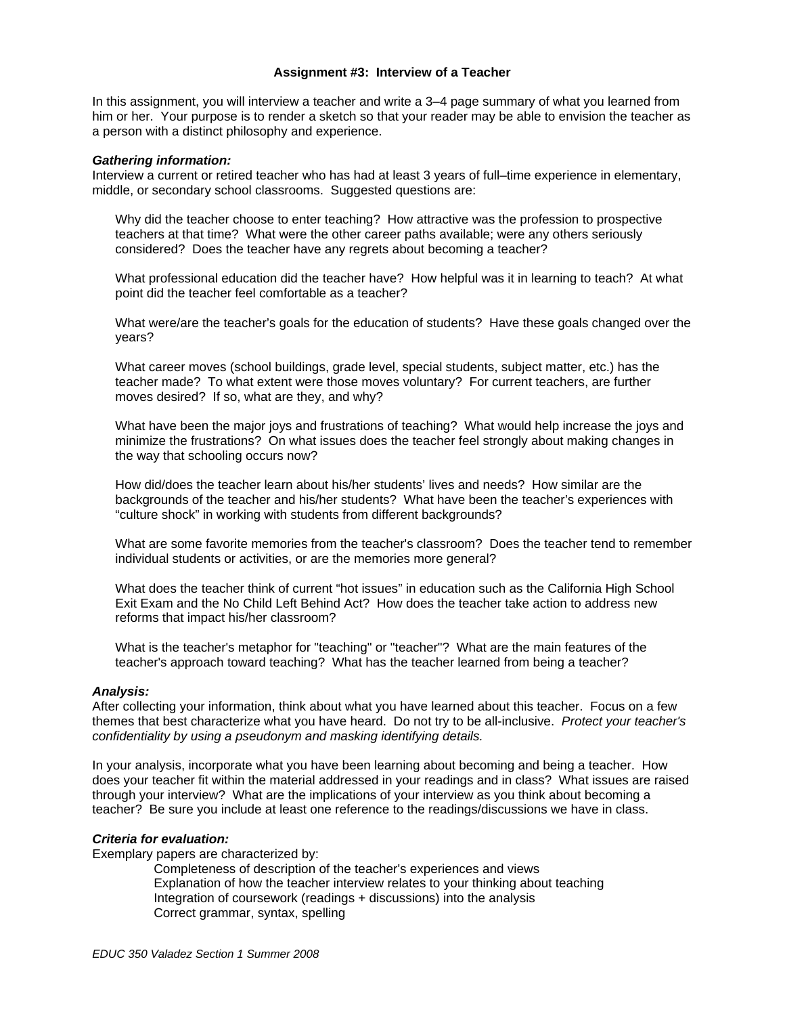### **Assignment #3: Interview of a Teacher**

In this assignment, you will interview a teacher and write a 3–4 page summary of what you learned from him or her. Your purpose is to render a sketch so that your reader may be able to envision the teacher as a person with a distinct philosophy and experience.

#### *Gathering information:*

Interview a current or retired teacher who has had at least 3 years of full–time experience in elementary, middle, or secondary school classrooms. Suggested questions are:

Why did the teacher choose to enter teaching? How attractive was the profession to prospective teachers at that time? What were the other career paths available; were any others seriously considered? Does the teacher have any regrets about becoming a teacher?

What professional education did the teacher have? How helpful was it in learning to teach? At what point did the teacher feel comfortable as a teacher?

What were/are the teacher's goals for the education of students? Have these goals changed over the years?

What career moves (school buildings, grade level, special students, subject matter, etc.) has the teacher made? To what extent were those moves voluntary? For current teachers, are further moves desired? If so, what are they, and why?

What have been the major joys and frustrations of teaching? What would help increase the joys and minimize the frustrations? On what issues does the teacher feel strongly about making changes in the way that schooling occurs now?

How did/does the teacher learn about his/her students' lives and needs? How similar are the backgrounds of the teacher and his/her students? What have been the teacher's experiences with "culture shock" in working with students from different backgrounds?

What are some favorite memories from the teacher's classroom? Does the teacher tend to remember individual students or activities, or are the memories more general?

What does the teacher think of current "hot issues" in education such as the California High School Exit Exam and the No Child Left Behind Act? How does the teacher take action to address new reforms that impact his/her classroom?

What is the teacher's metaphor for "teaching" or "teacher"? What are the main features of the teacher's approach toward teaching? What has the teacher learned from being a teacher?

#### *Analysis:*

After collecting your information, think about what you have learned about this teacher. Focus on a few themes that best characterize what you have heard. Do not try to be all-inclusive. *Protect your teacher's confidentiality by using a pseudonym and masking identifying details.* 

In your analysis, incorporate what you have been learning about becoming and being a teacher. How does your teacher fit within the material addressed in your readings and in class? What issues are raised through your interview? What are the implications of your interview as you think about becoming a teacher? Be sure you include at least one reference to the readings/discussions we have in class.

#### *Criteria for evaluation:*

Exemplary papers are characterized by:

Completeness of description of the teacher's experiences and views Explanation of how the teacher interview relates to your thinking about teaching Integration of coursework (readings + discussions) into the analysis Correct grammar, syntax, spelling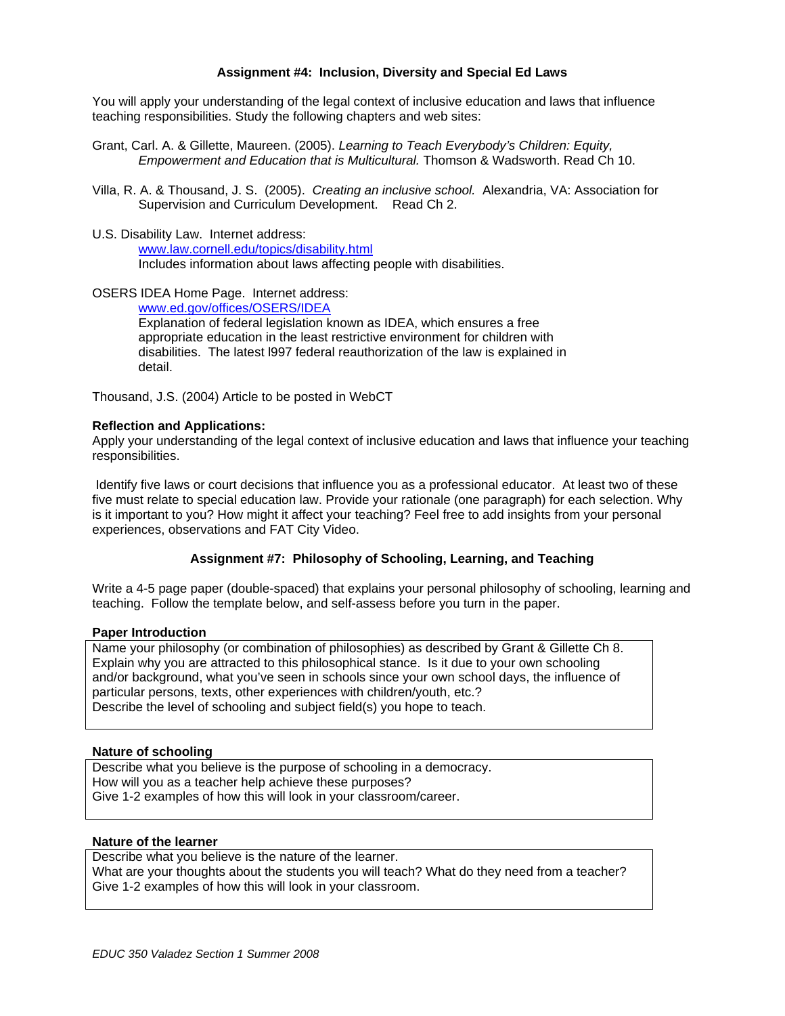### **Assignment #4: Inclusion, Diversity and Special Ed Laws**

You will apply your understanding of the legal context of inclusive education and laws that influence teaching responsibilities. Study the following chapters and web sites:

Grant, Carl. A. & Gillette, Maureen. (2005). *Learning to Teach Everybody's Children: Equity, Empowerment and Education that is Multicultural.* Thomson & Wadsworth. Read Ch 10.

- Villa, R. A. & Thousand, J. S. (2005). *Creating an inclusive school.* Alexandria, VA: Association for Supervision and Curriculum Development. Read Ch 2.
- U.S. Disability Law. Internet address:

www.law.cornell.edu/topics/disability.html Includes information about laws affecting people with disabilities.

OSERS IDEA Home Page. Internet address:

www.ed.gov/offices/OSERS/IDEA Explanation of federal legislation known as IDEA, which ensures a free appropriate education in the least restrictive environment for children with disabilities. The latest l997 federal reauthorization of the law is explained in detail.

Thousand, J.S. (2004) Article to be posted in WebCT

### **Reflection and Applications:**

Apply your understanding of the legal context of inclusive education and laws that influence your teaching responsibilities.

 Identify five laws or court decisions that influence you as a professional educator. At least two of these five must relate to special education law. Provide your rationale (one paragraph) for each selection. Why is it important to you? How might it affect your teaching? Feel free to add insights from your personal experiences, observations and FAT City Video.

### **Assignment #7: Philosophy of Schooling, Learning, and Teaching**

Write a 4-5 page paper (double-spaced) that explains your personal philosophy of schooling, learning and teaching. Follow the template below, and self-assess before you turn in the paper.

#### **Paper Introduction**

Name your philosophy (or combination of philosophies) as described by Grant & Gillette Ch 8. Explain why you are attracted to this philosophical stance. Is it due to your own schooling and/or background, what you've seen in schools since your own school days, the influence of particular persons, texts, other experiences with children/youth, etc.? Describe the level of schooling and subject field(s) you hope to teach.

### **Nature of schooling**

Describe what you believe is the purpose of schooling in a democracy. How will you as a teacher help achieve these purposes? Give 1-2 examples of how this will look in your classroom/career.

### **Nature of the learner**

Describe what you believe is the nature of the learner. What are your thoughts about the students you will teach? What do they need from a teacher? Give 1-2 examples of how this will look in your classroom.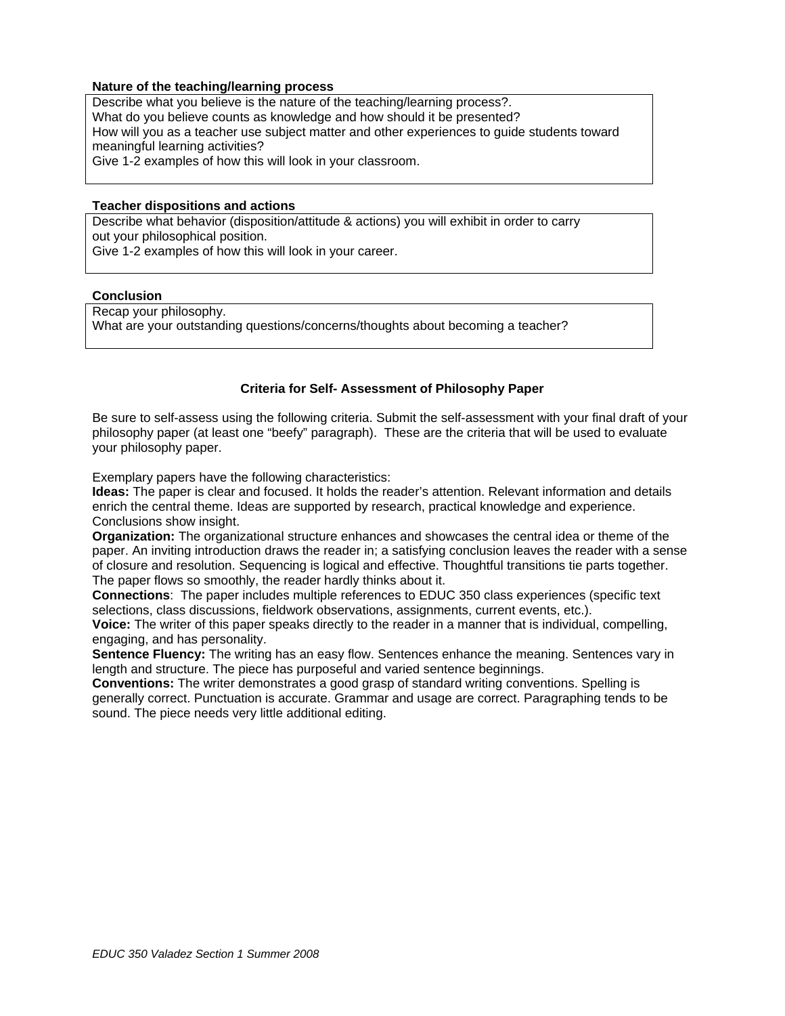### **Nature of the teaching/learning process**

Describe what you believe is the nature of the teaching/learning process?. What do you believe counts as knowledge and how should it be presented? How will you as a teacher use subject matter and other experiences to guide students toward meaningful learning activities? Give 1-2 examples of how this will look in your classroom.

**Teacher dispositions and actions** 

Describe what behavior (disposition/attitude & actions) you will exhibit in order to carry out your philosophical position. Give 1-2 examples of how this will look in your career.

**Conclusion** 

Recap your philosophy. What are your outstanding questions/concerns/thoughts about becoming a teacher?

### **Criteria for Self- Assessment of Philosophy Paper**

Be sure to self-assess using the following criteria. Submit the self-assessment with your final draft of your philosophy paper (at least one "beefy" paragraph). These are the criteria that will be used to evaluate your philosophy paper.

Exemplary papers have the following characteristics:

**Ideas:** The paper is clear and focused. It holds the reader's attention. Relevant information and details enrich the central theme. Ideas are supported by research, practical knowledge and experience. Conclusions show insight.

**Organization:** The organizational structure enhances and showcases the central idea or theme of the paper. An inviting introduction draws the reader in; a satisfying conclusion leaves the reader with a sense of closure and resolution. Sequencing is logical and effective. Thoughtful transitions tie parts together. The paper flows so smoothly, the reader hardly thinks about it.

**Connections**: The paper includes multiple references to EDUC 350 class experiences (specific text selections, class discussions, fieldwork observations, assignments, current events, etc.).

**Voice:** The writer of this paper speaks directly to the reader in a manner that is individual, compelling, engaging, and has personality.

**Sentence Fluency:** The writing has an easy flow. Sentences enhance the meaning. Sentences vary in length and structure. The piece has purposeful and varied sentence beginnings.

**Conventions:** The writer demonstrates a good grasp of standard writing conventions. Spelling is generally correct. Punctuation is accurate. Grammar and usage are correct. Paragraphing tends to be sound. The piece needs very little additional editing.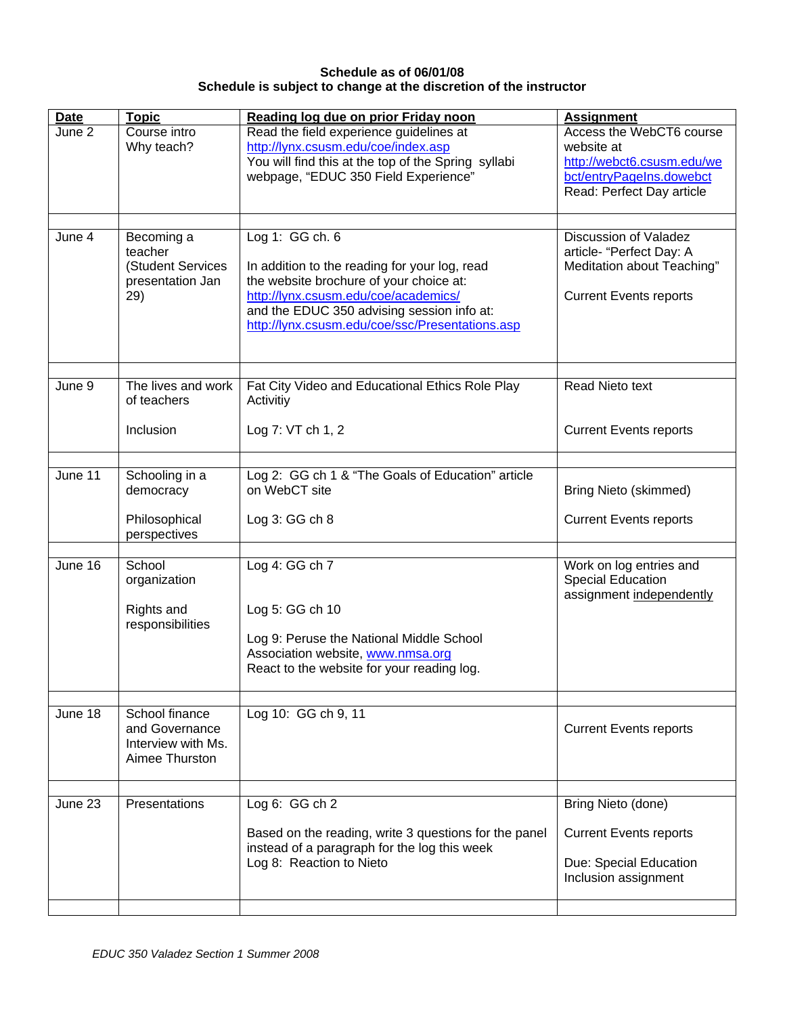# **Schedule as of 06/01/08 Schedule is subject to change at the discretion of the instructor**

| Access the WebCT6 course<br>http://webct6.csusm.edu/we<br>bct/entryPageIns.dowebct<br>Read: Perfect Day article  |
|------------------------------------------------------------------------------------------------------------------|
|                                                                                                                  |
| Discussion of Valadez<br>article- "Perfect Day: A<br>Meditation about Teaching"<br><b>Current Events reports</b> |
| Read Nieto text                                                                                                  |
| <b>Current Events reports</b>                                                                                    |
|                                                                                                                  |
| <b>Bring Nieto (skimmed)</b>                                                                                     |
| <b>Current Events reports</b>                                                                                    |
| Work on log entries and<br><b>Special Education</b><br>assignment independently                                  |
|                                                                                                                  |
| <b>Current Events reports</b>                                                                                    |
| Bring Nieto (done)                                                                                               |
| <b>Current Events reports</b><br>Due: Special Education<br>Inclusion assignment                                  |
|                                                                                                                  |